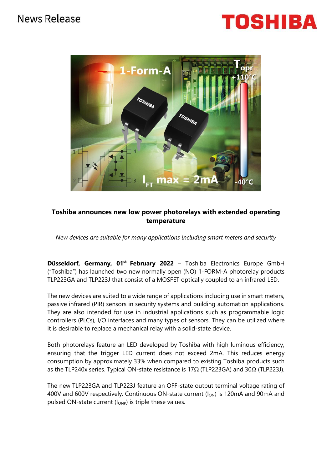## News Release





### **Toshiba announces new low power photorelays with extended operating temperature**

*New devices are suitable for many applications including smart meters and security*

**Düsseldorf, Germany, 01st February 2022** – Toshiba Electronics Europe GmbH ("Toshiba") has launched two new normally open (NO) 1-FORM-A photorelay products TLP223GA and TLP223J that consist of a MOSFET optically coupled to an infrared LED.

The new devices are suited to a wide range of applications including use in smart meters, passive infrared (PIR) sensors in security systems and building automation applications. They are also intended for use in industrial applications such as programmable logic controllers (PLCs), I/O interfaces and many types of sensors. They can be utilized where it is desirable to replace a mechanical relay with a solid-state device.

Both photorelays feature an LED developed by Toshiba with high luminous efficiency, ensuring that the trigger LED current does not exceed 2mA. This reduces energy consumption by approximately 33% when compared to existing Toshiba products such as the TLP240x series. Typical ON-state resistance is 17 $\Omega$  (TLP223GA) and 30 $\Omega$  (TLP223J).

The new TLP223GA and TLP223J feature an OFF-state output terminal voltage rating of 400V and 600V respectively. Continuous ON-state current  $(I_{ON})$  is 120mA and 90mA and pulsed ON-state current  $(I<sub>OMP</sub>)$  is triple these values.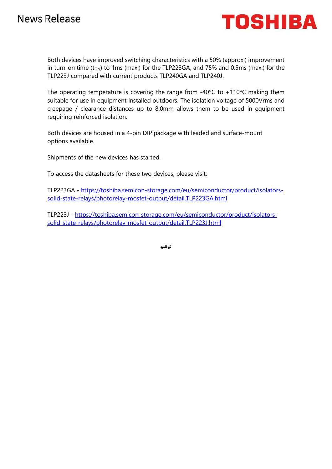

Both devices have improved switching characteristics with a 50% (approx.) improvement in turn-on time  $(t_{ON})$  to 1ms (max.) for the TLP223GA, and 75% and 0.5ms (max.) for the TLP223J compared with current products TLP240GA and TLP240J.

The operating temperature is covering the range from -40 $\degree$ C to +110 $\degree$ C making them suitable for use in equipment installed outdoors. The isolation voltage of 5000Vrms and creepage / clearance distances up to 8.0mm allows them to be used in equipment requiring reinforced isolation.

Both devices are housed in a 4-pin DIP package with leaded and surface-mount options available.

Shipments of the new devices has started.

To access the datasheets for these two devices, please visit:

TLP223GA - [https://toshiba.semicon-storage.com/eu/semiconductor/product/isolators](https://toshiba.semicon-storage.com/eu/semiconductor/product/isolators-solid-state-relays/photorelay-mosfet-output/detail.TLP223GA.html)[solid-state-relays/photorelay-mosfet-output/detail.TLP223GA.html](https://toshiba.semicon-storage.com/eu/semiconductor/product/isolators-solid-state-relays/photorelay-mosfet-output/detail.TLP223GA.html)

TLP223J - [https://toshiba.semicon-storage.com/eu/semiconductor/product/isolators](https://toshiba.semicon-storage.com/eu/semiconductor/product/isolators-solid-state-relays/photorelay-mosfet-output/detail.TLP223J.html)[solid-state-relays/photorelay-mosfet-output/detail.TLP223J.html](https://toshiba.semicon-storage.com/eu/semiconductor/product/isolators-solid-state-relays/photorelay-mosfet-output/detail.TLP223J.html)

###